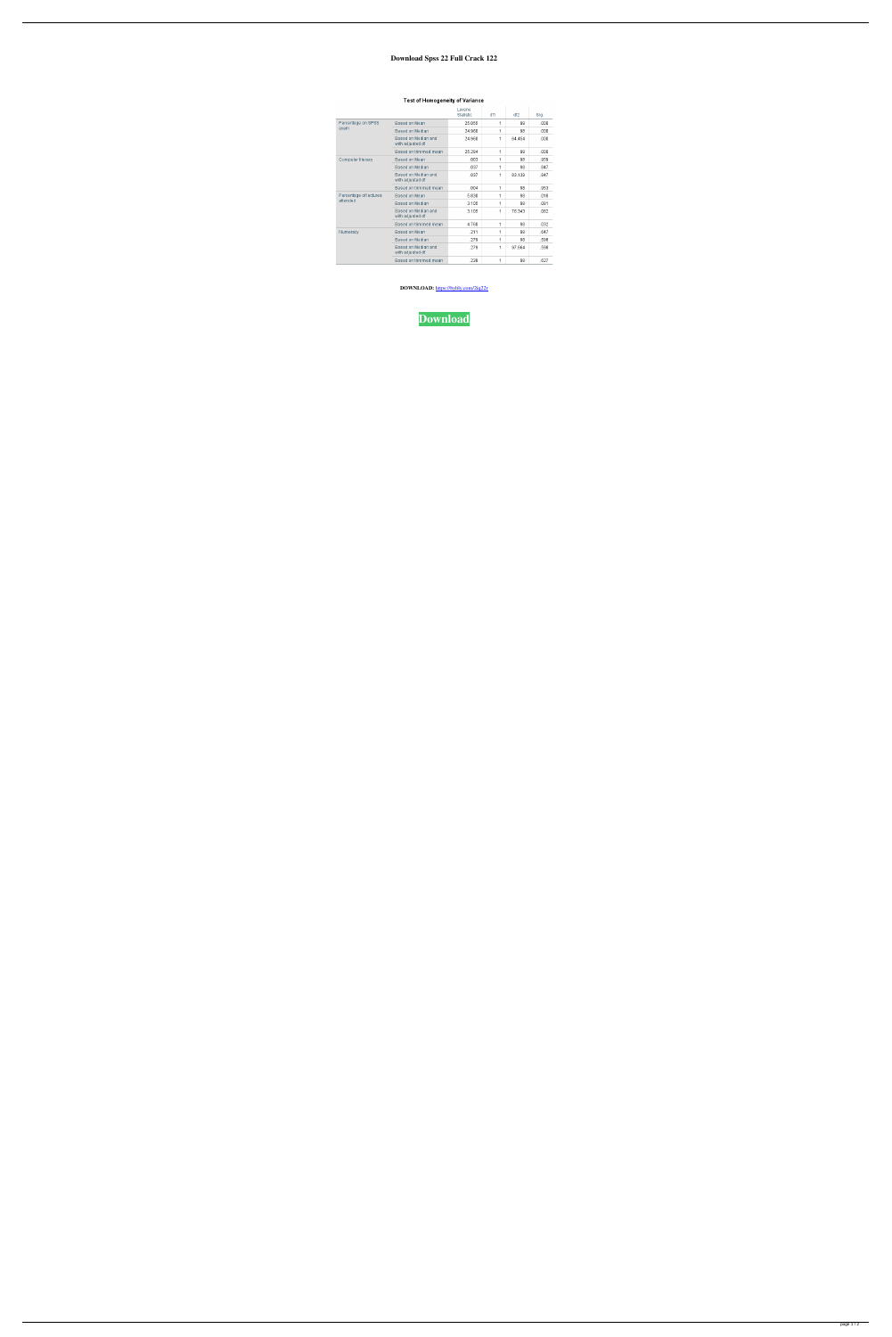## **Download Spss 22 Full Crack 122**

|                                    |                                         | Levene<br>Statistic | df1 | df2    | Sig. |
|------------------------------------|-----------------------------------------|---------------------|-----|--------|------|
| Percentage on SPSS<br>exam         | Based on Mean                           | 25.055              | 1   | 98     | .000 |
|                                    | Based on Median                         | 24.960              | 1   | 98     | .000 |
|                                    | Based on Median and<br>with adjusted df | 24.960              | 1   | 64.454 | .000 |
|                                    | Based on trimmed mean                   | 25.284              | 1   | 98     | .000 |
| Computer literacy                  | Based on Mean                           | .003                | 1   | 98     | .959 |
|                                    | Based on Median                         | .037                | 1   | 98     | .847 |
|                                    | Based on Median and<br>with adjusted df | .037                | 1   | 83.139 | .847 |
|                                    | Based on trimmed mean                   | .004                | 1   | 98     | .953 |
| Percentage of lectures<br>attended | Based on Mean                           | 5.830               | 1   | 98     | .018 |
|                                    | Based on Median                         | 3.105               | 1   | 98     | .081 |
|                                    | Based on Median and<br>with adjusted df | 3.105               | 1   | 76.343 | .082 |
|                                    | Based on trimmed mean                   | 4.760               | 1   | 98     | .032 |
| Numeracy                           | Based on Mean                           | .211                | 1   | 98     | .647 |
|                                    | Based on Median                         | .279                | 1   | 98     | .598 |
|                                    | Based on Median and<br>with adjusted df | .279                | 1   | 97.664 | .598 |
|                                    | Based on trimmed mean                   | 238                 | 1   | 98     | .627 |

## Test of Homogeneity of Variance

**DOWNLOAD:** <https://byltly.com/2iq22r>